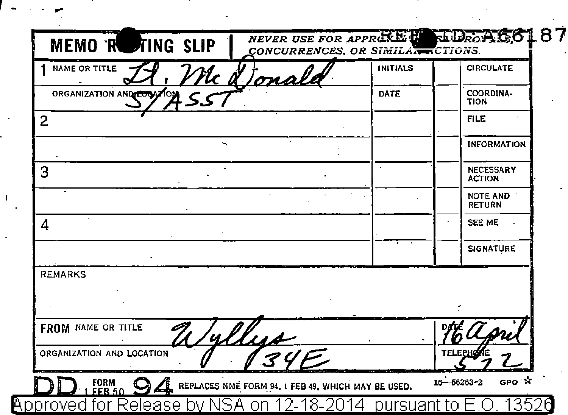| NAME OR TITLE<br>'lc <u>ot</u><br>ma | <b>INITIALS</b> | <b>CIRCULATE</b>                  |
|--------------------------------------|-----------------|-----------------------------------|
| ORGANIZATION AND COOSTON             | DATE            | COORDINA-<br><b>TION</b>          |
| $\overline{2}$                       |                 | <b>FILE</b>                       |
|                                      |                 | <b>INFORMATION</b>                |
| 3                                    |                 | <b>NECESSARY</b><br><b>ACTION</b> |
|                                      |                 | <b>NOTE AND</b><br><b>RETURN</b>  |
| 4                                    |                 | <b>SEE ME</b>                     |
|                                      |                 | <b>SIGNATURE</b>                  |
| <b>REMARKS</b>                       |                 |                                   |
|                                      |                 |                                   |
| FROM NAME OR TITLE<br>4.11.14        |                 |                                   |
| ORGANIZATION AND LOCATION            |                 | TELEPH                            |

r - - ...

 $\sim 10^7$ 

 $\mathbf{I}$  $\cdot$ 

l,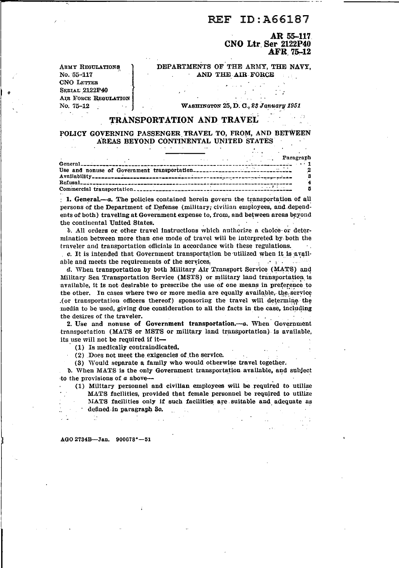## ID: A66187 **REF**

AR 55-117 CNO Ltr Ser 2122P40 AFR 75-12

DEPARTMENTS OF THE ARMY. THE NAVY. AND THE AIR FORCE

**ARMY REGULATIONS** No. 55-117 **CNO LETTER SERIAL 2122P40 AIR FORCE REGULATION** No. 75-12

WASHINGTON 25, D. C., 23 January 1951

## TRANSPORTATION AND TRAVEL

## POLICY GOVERNING PASSENGER TRAVEL TO, FROM, AND BETWEEN AREAS BEYOND CONTINENTAL UNITED STATES

|  |  |                        | <b>Example 2018</b> 2019 12:30 Paragraph |
|--|--|------------------------|------------------------------------------|
|  |  |                        |                                          |
|  |  | <b>TERRITA COMPANY</b> |                                          |

 $\pm$  1. General,—a. The policies contained herein govern the transportation of all persons of the Department of Defense (military; civilian employees, and dependents of both) traveling at Government expense to, from, and between areas beyond the continental United States.

b. All orders or other travel instructions which authorize a choice or determination between more than one mode of travel will be interpreted by both the traveler and transportation officials in accordance with these regulations.  $\sim$  .

c. It is intended that Government transportation be utilized when it is available and meets the requirements of the services. single special

d. When transportation by both Military Air Transport Service (MATS) and Military Sea Transportation Service (MSTS) or military land transportation is available, it is not desirable to prescribe the use of one means in preference to the other. In cases where two or more media are equally available, the service (or transportation officers thereof) sponsoring the travel will determine the media to be used, giving due consideration to all the facts in the case, including the desires of the traveler.

2. Use and nonuse of Government transportation.--- a. When Government transportation (MATS or MSTS or military land transportation) is available, its use will not be required if it-

(1) Is medically contraindicated.

(2) Does not meet the exigencies of the service.

(3) Would separate a family who would otherwise travel together.

b. When MATS is the only Government transportation available, and subject to the provisions of  $a$  above--

(1) Military personnel and civilian employees will be required to utilize MATS facilities, provided that female personnel be required to utilize MATS facilities only if such facilities are suitable and adequate as defined in paragraph 30.

AGO 2734B-Jan. 900678°-51